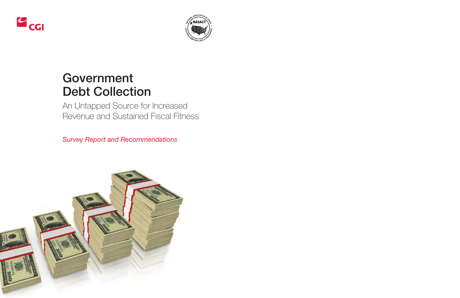



# **Government Debt Collection**

An Untapped Source for Increased Revenue and Sustained Fiscal Fitness

*Survey Report and Recommendations*

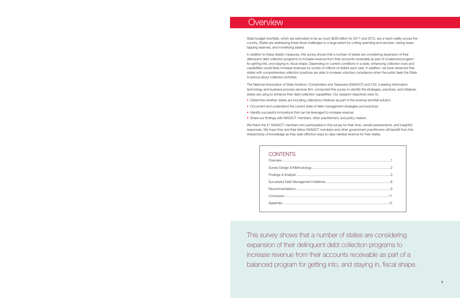This survey shows that a number of states are considering expansion of their delinquent debt collection programs to increase revenue from their accounts receivable as part of a balanced program for getting into, and staying in, fiscal shape.

## **Overview**

State budget shortfalls, which are estimated to be as much \$260 billion for 2011 and 2012, are a harsh reality across the country. States are addressing these fiscal challenges to a large extent by cutting spending and services, raising taxes, tapping reserves, and monetizing assets.

In addition to these drastic measures, this survey shows that a number of states are considering expansion of their delinquent debt collection programs to increase revenue from their accounts receivable as part of a balanced program for getting into, and staying in, fiscal shape. Depending on current conditions in a state, enhancing collection tools and capabilities would likely increase revenues by scores of millions of dollars each year. In addition, we have observed that states with comprehensive collection practices are able to increase voluntary compliance when the public feels the State is serious about collection activities.

We thank the 21 NASACT members who participated in this survey for their time, candid assessments, and insightful responses. We hope they and their fellow NASACT members and other government practitioners will benefit from this shared body of knowledge as they seek effective ways to raise needed revenue for their states.

## **CONTENTS**

The National Association of State Auditors, Comptrollers and Treasurers (NASACT) and CGI, a leading information technology and business process services firm, conducted this survey to identify the strategies, practices, and initiatives states are using to enhance their debt collection capabilities. Our research objectives were to:

- Determine whether states are including collections initiatives as part of the revenue shortfall solution
- Document and understand the current state of debt management strategies and practices
- Identify successful innovations that can be leveraged to increase revenue
- Share our findings with NASACT members, other practitioners, and policy makers.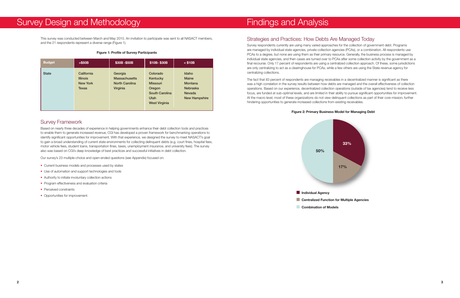## Findings and Analysis

## Strategies and Practices: How Debts Are Managed Today

Survey respondents currently are using many varied approaches for the collection of government debt. Programs are managed by individual state agencies, private collection agencies (PCAs), or a combination. All respondents use PCAs to a degree, but none are using them as their primary resource. Generally, the business process is managed by individual state agencies, and then cases are turned over to PCAs after some collection activity by the government as a final recourse. Only 17 percent of respondents are using a centralized collection approach. Of these, some jurisdictions are only centralizing to act as a clearinghouse for PCAs, while a few others are using the State revenue agency for centralizing collections.

The fact that 83 percent of respondents are managing receivables in a decentralized manner is significant as there was a high correlation in the survey results between how debts are managed and the overall effectiveness of collection operations. Based on our experience, decentralized collection operations (outside of tax agencies) tend to receive less focus, are funded at sub-optimal levels, and are limited in their ability to pursue significant opportunities for improvement. At the macro level, most of these organizations do not view delinquent collections as part of their core mission, further hindering opportunities to generate increased collections from existing receivables.

### **Figure 2: Primary Business Model for Managing Debt**



## Survey Design and Methodology

This survey was conducted between March and May 2010. An invitation to participate was sent to all NASACT members, and the 21 respondents represent a diverse range (Figure 1).

#### **Figure 1: Profile of Survey Participants**

### Survey Framework

Based on nearly three decades of experience in helping governments enhance their debt collection tools and practices to enable them to generate increased revenue, CGI has developed a proven framework for benchmarking operations to identify significant opportunities for improvement. With that experience, we designed the survey to meet NASACT's goal to gain a broad understanding of current state environments for collecting delinquent debts (e.g. court fines, hospital fees, motor vehicle fees, student loans, transportation fines, taxes, unemployment insurance, and university fees). The survey also was based on CGI's deep knowledge of best practices and successful initiatives in debt collection.

Our survey's 23 multiple-choice and open-ended questions (see Appendix) focused on:

- Current business models and processes used by states
- Use of automation and support technologies and tools
- Authority to initiate involuntary collection actions
- Program effectiveness and evaluation criteria
- Perceived constraints
- Opportunities for improvement.

| <b>Budget</b> | $>$ \$50B                                                        | \$30B-\$50B                                                          | \$10B-\$30B                                                                                                | $<$ \$10B                                                                                           |
|---------------|------------------------------------------------------------------|----------------------------------------------------------------------|------------------------------------------------------------------------------------------------------------|-----------------------------------------------------------------------------------------------------|
| <b>State</b>  | California<br><b>Illinois</b><br><b>New York</b><br><b>Texas</b> | Georgia<br><b>Massachusetts</b><br><b>North Carolina</b><br>Virginia | Colorado<br>Kentucky<br><b>Missouri</b><br>Oregon<br><b>South Carolina</b><br>Utah<br><b>West Virginia</b> | Idaho<br><b>Maine</b><br><b>Montana</b><br><b>Nebraska</b><br><b>Nevada</b><br><b>New Hampshire</b> |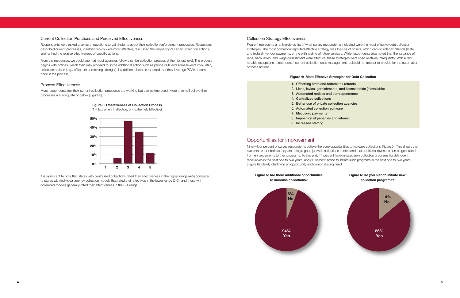#### Collection Strategy Effectiveness

Figure 4 represents a rank-ordered list of what survey respondents indicated were the most effective debt collection strategies. The most commonly reported effective strategy was the use of offsets, which can include tax refunds (state and federal), vendor payments, or the withholding of future services. While respondents also noted that the issuance of liens, bank levies, and wage garnishment were effective, these strategies were used relatively infrequently. With a few notable exceptions, respondents' current collection case management tools did not appear to provide for the automation of these actions.

#### **Figure 4: Most Effective Strategies for Debt Collection**

- **1. Offsetting state and federal tax refunds**
- **2. Liens, levies, garnishments, and license holds (if available) 3. Automated notices and correspondence**
- 
- **4. Centralized collections**
- **5. Better use of private collection agencies 6. Automated collection software**
- **7. Electronic payments**
- **8. Imposition of penalties and interest**
- 
- **9. Increased staffing**

## Opportunities for Improvement

Ninety-four percent of survey respondents believe there are opportunities to increase collections (Figure 5). This shows that even states that believe they are doing a good job with collections understand that additional revenues can be generated from enhancements to their programs. To this end, 44 percent have initiated new collection programs for delinquent receivables in the past one to two years, and 86 percent intend to initiate such programs in the next one to two years (Figure 6), clearly identifying an opportunity and demonstrating need.

**Figure 3: Effectiveness of Collection Process**  $(1 =$  Extremely Ineffective,  $5 =$  Extremely Effective)



#### **Figure 5: Are there additional opportunities to increase collections?**



### Current Collection Practices and Perceived Effectiveness

Respondents were asked a series of questions to gain insights about their collection enforcement processes. Responses described current processes, identified which were most effective, discussed the frequency of certain collection actions, and ranked the relative effectiveness of specific actions.

From the responses, we could see that most agencies follow a similar collection process at the highest level. The process begins with notices, which then may proceed to some additional action such as phone calls and some level of involuntary collection actions (e.g., offsets or something stronger). In addition, all states reported that they leverage PCAs at some point in the process.

#### Process Effectiveness

Most respondents feel their current collection processes are working but can be improved. More than half believe their processes are adequate or below (Figure 3).



It is significant to note that states with centralized collections rated their effectiveness in the higher range (4-5) compared to states with individual agency collection models that rated their effectives in the lower range (2-3), and those with combined models generally rated their effectiveness in the 3-4 range.

- 
-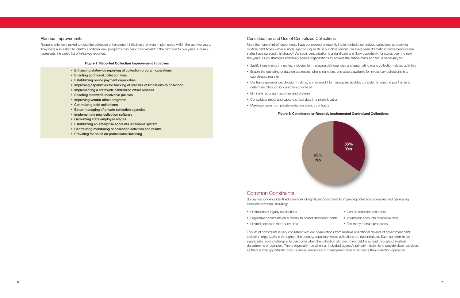



#### Consideration and Use of Centralized Collections

More than one-third of respondents have considered or recently implemented a centralized collections strategy for multiple debt types within a single agency (Figure 8). In our observations, we have seen dramatic improvements where states have pursued this strategy. As such, centralization is a significant and likely opportunity for states over the next few years. Such strategies effectively enable organizations to achieve the critical mass and focus necessary to:

- Justify investments in new technologies for managing delinquencies and automating many collection-related activities
- Enable the gathering of data on addresses, phone numbers, and assets available for involuntary collections in a coordinated manner
- Centralize governance, decision-making, and oversight to manage receivables consistently from the point a fee is determined through its collection or write off
- Eliminate redundant activities and systems
- Consolidate debts and capture critical data in a single location
- Maximize value from private collection agency contracts.

### **Figure 8: Considered or Recently Implemented Centralized Collections**

### Common Constraints

Survey respondents identified a number of significant constraints to improving collection processes and generating increased revenue, including:

- Limitations of legacy applications
- Legislative constraints on authority to collect delinquent debts
- Limited access to third-party data

This list of constraints is very consistent with our observations from multiple operational reviews of government debt collection organizations throughout the country, especially where collections are decentralized. Such constraints are significantly more challenging to overcome when the collection of government debt is spread throughout multiple departments or agencies. This is especially true when an individual agency's primary mission is to provide citizen services, as there is little opportunity to focus limited resources or management time to enhance their collection operation.

- Limited collection resources
- Insufficient accounts receivable data
- Too many manual processes.

#### Planned Improvements

Respondents were asked to describe collection enhancement initiatives that were implemented within the last two years. They were also asked to identify additional new programs they plan to implement in the next one to two years. Figure 7 represents the varied list of initiatives reported:

#### **Figure 7: Reported Collection Improvement Initiatives**

- **• Enhancing statewide reporting of collection program operations**
- **• Enacting additional collection fees**
- **• Establishing online payment capabilities**
- **• Improving capabilities for tracking of statutes of limitations to collection**
- **• Implementing a statewide centralized offset process**
- **• Enacting statewide receivable policies**
- **• Improving vendor offset programs**
- **• Centralizing debt collections**
- **• Better managing of private collection agencies**
- **• Implementing new collection software**
- **• Garnishing state employee wages**
- **• Establishing an enterprise accounts receivable system**
- **• Centralizing monitoring of collection activities and results**
- **• Providing for holds on professional licensing**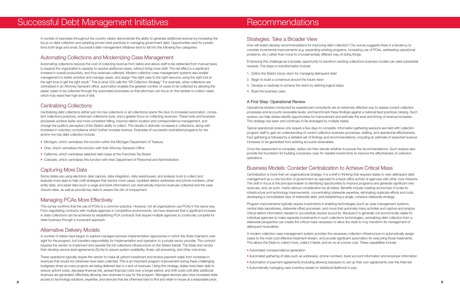## Strategies: Take a Broader View

How will states develop recommendations for improving debt collection? Our survey suggests there is a tendency to consider incremental improvements (e.g. expanding existing programs, increasing use of PCAs, addressing operational problems, etc.) rather than move to a fundamentally different way of doing things.

Embracing this challenge as a broader opportunity to transform existing collections business models can yield substantial rewards. The steps to transformation include:

- 1. Define the State's future vision for managing delinquent debt
- 2. Begin to build a consensus around the future vision
- 3. Develop a roadmap to achieve the vision by defining logical steps
- 4. Build the business case.

### A First Step: Operational Review

Operational reviews conducted by experienced consultants are an extremely effective way to assess current collection processes and accounts receivable levels, and benchmark these findings against a national best practices catalog. Such reviews can help states identify opportunities for improvement and estimate the level and timing of revenue increases. This strategy has been and continues to be leveraged by multiple states.

Typical operational reviews only require a few days to complete. Information gathering sessions are held with collection program staff to gain an understanding of current collection business processes, staffing, and operational effectiveness. Fact gathering is followed by a detailed set of findings and recommendations, including an estimate of expected revenue increases to be generated from existing accounts receivables.

Once the assessment is complete, states can then decide whether to pursue the recommendations. Such reviews also provide the foundation for building a business case for needed investments to improve the effectiveness of collection operations.

## Business Models: Consider Centralization to Achieve Critical Mass

Centralization is more than an organizational strategy: it is a shift in thinking that requires states to view delinquent debt management as a core function of government as opposed to a back-office activity of agencies with other core missions. This shift in focus is the principal enabler to identifying opportunities to improve programs and generate significant new revenues; and, as such, merits serious consideration by all states. Benefits include creating economies of scale for infrastructure and technology improvements, concentrating statewide expertise, eliminating duplicate efforts and tools, developing a consolidated view of statewide debt, and establishing a single, cohesive statewide strategy.

Program improvements typically require investments in enabling technologies (such as case management systems, central data repositories, statewide offset processes, and more) that automate many activities and capture and analyze critical debtor information needed to successfully resolve accounts. Because it is generally not economically viable for individual agencies to make separate investments in such collections technologies, centralizing debt collection from a statewide perspective can create the critical mass necessary to allow the state to truly transform its management of delinquent receivables.

A modern collection case management system provides the necessary collection infrastructure to automatically assign cases to the most cost-effective treatment stream, and provide significant automation for executing those treatments. This allows the State to collect more, collect it faster, and do so at a lower cost. These capabilities include:

- Automated correspondence generation
- Automated gathering of data such as addresses, phone numbers, bank account information and employer information
- Automation of payment agreements (including allowing taxpayers to set up their own agreements over the Internet)
- Automatically managing case inventory based on statistical likelihood to pay.

## Recommendations

A number of examples throughout the country clearly demonstrate the ability to generate additional revenue by increasing the focus on debt collection and adopting proven best practices in managing government debt. Opportunities exist for jurisdictions both large and small. Successful debt management initiatives tend to fall into the following five categories:

## Automating Collections and Modernizing Case Management

Automating collections reduces the cost of collecting revenue from debts and allows staff to be redirected from manual tasks to expand the organization's capacity to resolve additional cases, without hiring more staff. The net effect is a significant increase in overall productivity, and thus revenues collected. Modern collection case management systems also enable management to better prioritize and manage cases, and assign "the right case to the right resource using the right tool at the right time to get the right result." This is what CGI calls the "5R Collection Strategy." For example, when collections are centralized in an Attorney General's office, automation enables the greatest number of cases to be collected by allowing the easier cases to be collected through the automated processes so that attorneys can focus on the hardest-to-collect cases which truly need their high level of skill.

## Centralizing Collections

Centralizing debt collections (either just non-tax collections or all collections) opens the door to increased automation, consistent collections practices, enhanced collections tools, and a greater focus on collecting revenues. These tools and business processes achieve faster and more consistent billing, improve debtor location and correspondence management, and change the public's perception of the State's ability to collect. This results in dramatic increases in collections, along with increases in voluntary compliance which further increase revenue. Examples of successful centralized programs for tax and/or non-tax debt collection include:

- Michigan, which centralizes this function within the Michigan Department of Treasury
- Ohio, which centralizes this function with their Attorney General's Office
- California, which centralizes selected debt types at the Franchise Tax Board
- Colorado, which centralizes this function with their Department of Personnel and Administration.

## Capturing More Data

Some states are using electronic data capture, data integration, data warehouses, and analysis tools to collect and evaluate more data to help craft strategies that resolve more cases. Updated debtor addresses and phone numbers, other entity data, and asset data (such a wage and bank information) can dramatically improve revenues collected and the case closure rates, as well as provide key data to assess the risk of nonpayment.

## Managing PCAs More Effectively

This survey confirms that the use of PCAs is a common practice. However, not all organizations use PCAs in the same way. From negotiating contracts with multiple agencies in competitive environments, we have observed that a significant increase in state collections can be achieved by establishing PCA contracts that require multiple agencies to continually compete for state business through a scorecard approach.

## Alternative Delivery Models

A number of states have begun to explore managed services implementation approaches in which the State maintains oversight for the program, but transfers responsibility for implementation and operation to a private sector provider. The contract requires the vendor to implement and operate the full collections infrastructure on the State's behalf. The State and vendor then develop service level agreements (SLAs) to assure system availability, timely call answering, and other outcomes.

These operations typically require the vendor to make all upfront investment and receive payment solely from increases in revenues that would not otherwise have been collected. This is an important program improvement during these challenging budgetary times as many projects are being deferred due to a lack of revenues. Using this strategy, states have been able to reduce upfront costs, decrease financial risk, spread financial costs over a longer period, and shift costs until after additional revenues are generated, effectively allowing new revenues to pay for the program. Managed services also have increased state access to technology solutions, expertise, and services that are otherwise hard to find and retain in-house at a reasonable price.

## Successful Debt Management Initiatives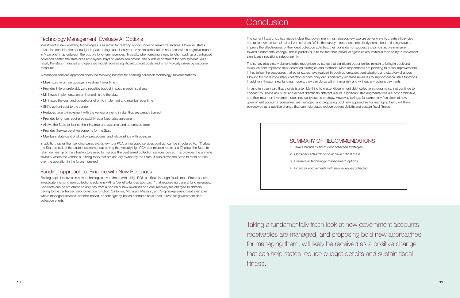The current fiscal crisis has made it clear that government must aggressively explore better ways to create efficiencies and raise revenue to maintain citizen services. While the survey respondents are clearly committed to finding ways to improve the effectiveness of their debt collection activities, their plans do not suggest a clear, distinctive movement toward fundamental change. This is partially due to the fact that individual agencies are limited in their ability to implement significant innovations independently.

The survey also clearly demonstrates recognition by states that significant opportunities remain to bring in additional revenues from improved debt collection strategies and methods. Most respondents are planning to make improvements. If they follow the successes that other states have realized through automation, centralization, and statutory changes allowing for more involuntary collection actions, they can significantly increase revenues to support critical state functions. In addition, through new funding models, they can do so with minimal risk and without any upfront payments.

It has often been said that a crisis is a terrible thing to waste. Government debt collection programs cannot continue to conduct "business as usual" and expect dramtically different results. Significant staff augmentations are cost prohibitive, and their return on investment does not justify such a strategy. However, taking a fundamentally fresh look at how government accounts receivables are managed, and proposing bold new approaches for managing them, will likely be received as a positive change that can help states reduce budget deficits and sustain fiscal fitness.

Taking a fundamentally fresh look at how government accounts receivables are managed, and proposing bold new approaches for managing them, will likely be received as a positive change that can help states reduce budget deficits and sustain fiscal fitness.

## SUMMARY OF RECOMMENDATIONS

- 1. Take a broader view of debt collection strategies
- 2. Consider centralization to achieve critical mass
- 3. Evaluate all technology management options
- 4. Finance improvements with new revenues collected

## **Conclusion**

## Technology Management: Evaluate All Options

Investment in new enabling technologies is essential for realizing opportunities to maximize revenue. However, states must also consider the net budget impact during each fiscal year, as an implementation approach with a negative impact in "year one" may outweigh the positive long-term revenues. Typically, when creating a new function such as a centralized collection center, the state hires employees, buys or leases equipment, and builds or contracts for new systems. As a result, the state-managed and operated model requires significant upfront costs and is not typically driven by outcome measures.

A managed services approach offers the following benefits for enabling collection technology implementations:

- Maximizes return on taxpayer investment over time
- Provides little or preferably zero negative budget impact in each fiscal year
- Minimizes implementation or financial risk to the state
- Minimizes the cost and operational effort to implement and maintain over time
- Shifts upfront cost to the vendor
- Reduces time to implement with the vendor bringing in staff that are already trained
- Provides long-term cost predictability via a fixed price agreement
- Allows the State to license the infrastructure, systems, and automated tools
- Provides Service Level Agreements for the State
- Maintains state control of policy, procedures, and relationships with agencies.

In addition, rather than sending cases exclusively to a PCA, a managed services contract can be structured to: (1) allow the State to collect the easiest cases without paying the typically high PCA commission rates; and (2) allow the State to retain ownership of the infrastructure used to manage the centralized collection services center. This provides the ultimate flexibility where the vendor is utilizing tools that are actually owned by the State. It also allows the State to rebid or take over the operation in the future if desired.

### Funding Approaches: Finance with New Revenues

Finding capital to invest in new technologies, even those with a high ROI, is difficult in tough fiscal times. States should investigate financing new collections solutions with a "benefits-funded approach" that requires no general fund revenues. Contracts can be structured to only pay from a portion of new revenues or a cost recovery fee charged to debtors paying to the centralized debt collection function. California, Michigan, Missouri, and Virginia represent great examples where managed services, benefits-based, or contingency-based contracts have been utilized for government debt collection efforts.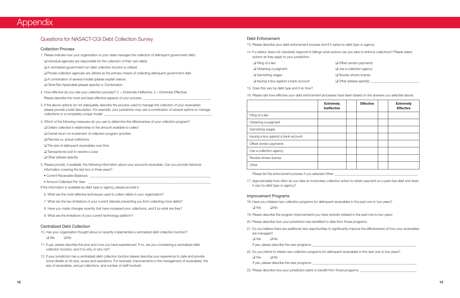|                                       | <b>Extremely</b><br><b>Ineffective</b> | <b>Effective</b> | <b>Extremely</b><br><b>Effective</b> |
|---------------------------------------|----------------------------------------|------------------|--------------------------------------|
| Filing of a lien                      |                                        |                  |                                      |
| Obtaining a judgment                  |                                        |                  |                                      |
| Garnishing wages                      |                                        |                  |                                      |
| Issuing a levy against a bank account |                                        |                  |                                      |
| Offset vendor payments                |                                        |                  |                                      |
| Use a collection agency               |                                        |                  |                                      |
| Revoke drivers license                |                                        |                  |                                      |
| Other                                 |                                        |                  |                                      |

Please list the enforcement process if you selected Other: \_\_\_\_\_\_

#### Debt Enforcement

- 13. Please describe your debt enforcement process and if it varies by debt type or agency:
- actions as they apply to your jurisdiction:

14. If a debtor does not voluntarily respond to billings what actions can you take to enforce collections? Please select

- Offset vendor payments
- Use a collection agency
- Revoke drivers license
- 

| $\Box$ Filing of a lien                      | $\Box$ Offset vendor payment   |
|----------------------------------------------|--------------------------------|
| $\Box$ Obtaining a judgment                  | $\Box$ Use a collection agenc  |
| $\Box$ Garnishing wages                      | $\Box$ Revoke drivers license  |
| $\Box$ Issuing a levy against a bank account | $\Box$ Other (please specify): |

#### 15. Does this vary by debt type and if so how?

16. Please rate how effective your debt enforcement processes have been based on the answers you selected above.

- If yes, please describe the new programs: \_\_\_\_\_\_
- 22. Do you intend to initiate new collection programs for delinquent receivables in the next one to two years? ❑ Yes ❑ No

If yes, please describe the new programs:  $\Box$ 

23. Please describe how your jurisdiction plans to benefit from those programs:

17. Approximately how often do you take an involuntary collection action to obtain payment on a past due debt and does

it vary by debt type or agency?

#### Improvement Programs

- 18. Have you initiated new collection programs for delinquent receivables in the past one to two years? ❑ Yes ❑ No
- 19. Please describe the program improvements you have recently initiated in the past one to two years:
- 20. Please describe how your jurisdiction has benefited to date from those programs:
- are managed?

21. Do you believe there are additional new opportunities to significantly improve the effectiveness of how your receivables

❑ Yes ❑ No

## Appendix

## Questions for NASACT-CGI Debt Collection Survey

#### Collection Process

- 1. Please indicate how your organization or your state manages the collection of delinquent government debt:
- □ Individual agencies are responsible for the collection of their own debts
- ❑ A centralized government-run debt collection function is utilized
- ❑ Private collection agencies are utilized as the primary means of collecting delinquent government debt
- □ A combination of several models (please explain below)
- ❑ Other/Not Applicable (please specify) or Combination
- 2. How effective do you rate your collection process?  $(1 = Extremely Ineffective, 5 = Extremely Effective)$ Please describe the most and least effective aspects of your process:
- 3. If the above options do not adequately describe the process used to manage the collection of your receivables please provide a brief description. For example, your jurisdiction may use a combination of several options to manage collections or a completely unique model:
- 4. Which of the following measures do you use to determine the effectiveness of your collection program?
- ❑ Dollars collected in relationship to the amount available to collect
- ❑ Overall return on investment of collection program activities
- ❑ Planned vs. actual collections
- ❑ The size of delinquent receivables over time
- ❑ Transactional cost to resolve a case
- ❑ Other (please specify)
- 5. Please provide, if available, the following information about your accounts receivable. Can you provide historical information covering the last two or three years?
- Current Receivable Balances:
- Amount Collected Per Year:
- If the information is available by debt type or agency, please provide it:
- 6. What are the most effective techniques used to collect debts in your organization?
- 7. What are the key limitations of your current statutes preventing you from collecting more debts?
- 8. Have you made changes recently that have increased your collections, and if so what are they?
- 9. What are the limitations of your current technology platform?

#### Centralized Debt Collection

10. Has your organization thought about or recently implemented a centralized debt collection function?

❑ Yes ❑ No

- 11. If yes, please describe the pros and cons you have experienced. If no, are you considering a centralized debt collection function, and if so why or why not?
- 12. If your jurisdiction has a centralized debt collection function please describe your experience to date and provide some details on its size, scope and operations. For example, improvements in the management of receivables, the size of receivables, annual collections, and number of staff involved: